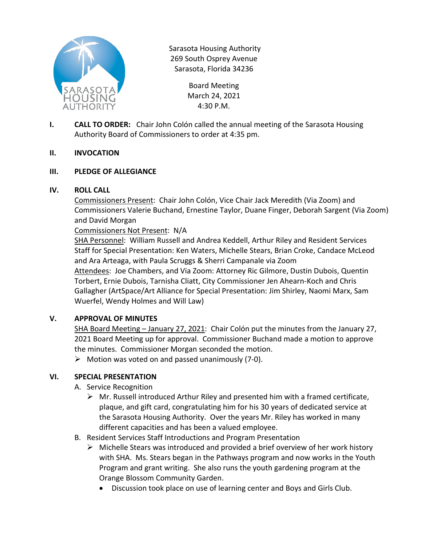

Sarasota Housing Authority 269 South Osprey Avenue Sarasota, Florida 34236

> Board Meeting March 24, 2021 4:30 P.M.

**I. CALL TO ORDER:** Chair John Colón called the annual meeting of the Sarasota Housing Authority Board of Commissioners to order at 4:35 pm.

### **II. INVOCATION**

### **III. PLEDGE OF ALLEGIANCE**

### **IV. ROLL CALL**

Commissioners Present: Chair John Colón, Vice Chair Jack Meredith (Via Zoom) and Commissioners Valerie Buchand, Ernestine Taylor, Duane Finger, Deborah Sargent (Via Zoom) and David Morgan

### Commissioners Not Present: N/A

SHA Personnel: William Russell and Andrea Keddell, Arthur Riley and Resident Services Staff for Special Presentation: Ken Waters, Michelle Stears, Brian Croke, Candace McLeod and Ara Arteaga, with Paula Scruggs & Sherri Campanale via Zoom Attendees: Joe Chambers, and Via Zoom: Attorney Ric Gilmore, Dustin Dubois, Quentin

Torbert, Ernie Dubois, Tarnisha Cliatt, City Commissioner Jen Ahearn-Koch and Chris Gallagher (ArtSpace/Art Alliance for Special Presentation: Jim Shirley, Naomi Marx, Sam Wuerfel, Wendy Holmes and Will Law)

# **V. APPROVAL OF MINUTES**

SHA Board Meeting – January 27, 2021: Chair Colón put the minutes from the January 27, 2021 Board Meeting up for approval. Commissioner Buchand made a motion to approve the minutes. Commissioner Morgan seconded the motion.

 $\triangleright$  Motion was voted on and passed unanimously (7-0).

# **VI. SPECIAL PRESENTATION**

- A. Service Recognition
	- $\triangleright$  Mr. Russell introduced Arthur Riley and presented him with a framed certificate, plaque, and gift card, congratulating him for his 30 years of dedicated service at the Sarasota Housing Authority. Over the years Mr. Riley has worked in many different capacities and has been a valued employee.
- B. Resident Services Staff Introductions and Program Presentation
	- $\triangleright$  Michelle Stears was introduced and provided a brief overview of her work history with SHA. Ms. Stears began in the Pathways program and now works in the Youth Program and grant writing. She also runs the youth gardening program at the Orange Blossom Community Garden.
		- Discussion took place on use of learning center and Boys and Girls Club.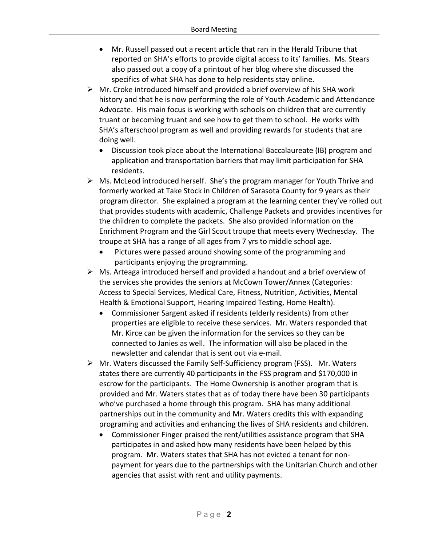- Mr. Russell passed out a recent article that ran in the Herald Tribune that reported on SHA's efforts to provide digital access to its' families. Ms. Stears also passed out a copy of a printout of her blog where she discussed the specifics of what SHA has done to help residents stay online.
- $\triangleright$  Mr. Croke introduced himself and provided a brief overview of his SHA work history and that he is now performing the role of Youth Academic and Attendance Advocate. His main focus is working with schools on children that are currently truant or becoming truant and see how to get them to school. He works with SHA's afterschool program as well and providing rewards for students that are doing well.
	- Discussion took place about the International Baccalaureate (IB) program and application and transportation barriers that may limit participation for SHA residents.
- $\triangleright$  Ms. McLeod introduced herself. She's the program manager for Youth Thrive and formerly worked at Take Stock in Children of Sarasota County for 9 years as their program director. She explained a program at the learning center they've rolled out that provides students with academic, Challenge Packets and provides incentives for the children to complete the packets. She also provided information on the Enrichment Program and the Girl Scout troupe that meets every Wednesday. The troupe at SHA has a range of all ages from 7 yrs to middle school age.
	- Pictures were passed around showing some of the programming and participants enjoying the programming.
- $\triangleright$  Ms. Arteaga introduced herself and provided a handout and a brief overview of the services she provides the seniors at McCown Tower/Annex (Categories: Access to Special Services, Medical Care, Fitness, Nutrition, Activities, Mental Health & Emotional Support, Hearing Impaired Testing, Home Health).
	- Commissioner Sargent asked if residents (elderly residents) from other properties are eligible to receive these services. Mr. Waters responded that Mr. Kirce can be given the information for the services so they can be connected to Janies as well. The information will also be placed in the newsletter and calendar that is sent out via e-mail.
- Mr. Waters discussed the Family Self-Sufficiency program (FSS). Mr. Waters states there are currently 40 participants in the FSS program and \$170,000 in escrow for the participants. The Home Ownership is another program that is provided and Mr. Waters states that as of today there have been 30 participants who've purchased a home through this program. SHA has many additional partnerships out in the community and Mr. Waters credits this with expanding programing and activities and enhancing the lives of SHA residents and children.
	- Commissioner Finger praised the rent/utilities assistance program that SHA participates in and asked how many residents have been helped by this program. Mr. Waters states that SHA has not evicted a tenant for nonpayment for years due to the partnerships with the Unitarian Church and other agencies that assist with rent and utility payments.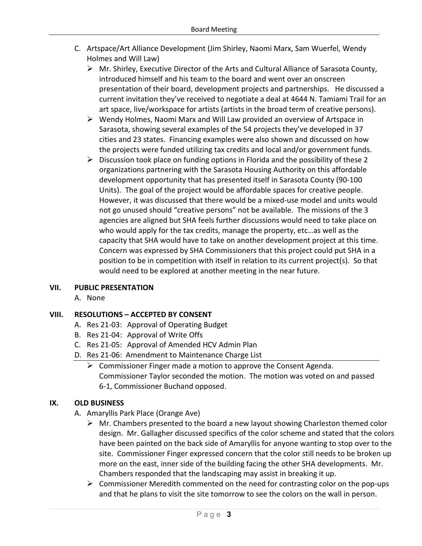- C. Artspace/Art Alliance Development (Jim Shirley, Naomi Marx, Sam Wuerfel, Wendy Holmes and Will Law)
	- $\triangleright$  Mr. Shirley, Executive Director of the Arts and Cultural Alliance of Sarasota County, introduced himself and his team to the board and went over an onscreen presentation of their board, development projects and partnerships. He discussed a current invitation they've received to negotiate a deal at 4644 N. Tamiami Trail for an art space, live/workspace for artists (artists in the broad term of creative persons).
	- $\triangleright$  Wendy Holmes, Naomi Marx and Will Law provided an overview of Artspace in Sarasota, showing several examples of the 54 projects they've developed in 37 cities and 23 states. Financing examples were also shown and discussed on how the projects were funded utilizing tax credits and local and/or government funds.
	- $\triangleright$  Discussion took place on funding options in Florida and the possibility of these 2 organizations partnering with the Sarasota Housing Authority on this affordable development opportunity that has presented itself in Sarasota County (90-100 Units). The goal of the project would be affordable spaces for creative people. However, it was discussed that there would be a mixed-use model and units would not go unused should "creative persons" not be available. The missions of the 3 agencies are aligned but SHA feels further discussions would need to take place on who would apply for the tax credits, manage the property, etc…as well as the capacity that SHA would have to take on another development project at this time. Concern was expressed by SHA Commissioners that this project could put SHA in a position to be in competition with itself in relation to its current project(s). So that would need to be explored at another meeting in the near future.

### **VII. PUBLIC PRESENTATION**

A. None

# **VIII. RESOLUTIONS – ACCEPTED BY CONSENT**

- A. Res 21-03: Approval of Operating Budget
- B. Res 21-04: Approval of Write Offs
- C. Res 21-05: Approval of Amended HCV Admin Plan
- D. Res 21-06: Amendment to Maintenance Charge List
	- $\triangleright$  Commissioner Finger made a motion to approve the Consent Agenda. Commissioner Taylor seconded the motion. The motion was voted on and passed 6-1, Commissioner Buchand opposed.

# **IX. OLD BUSINESS**

- A. Amaryllis Park Place (Orange Ave)
	- $\triangleright$  Mr. Chambers presented to the board a new layout showing Charleston themed color design. Mr. Gallagher discussed specifics of the color scheme and stated that the colors have been painted on the back side of Amaryllis for anyone wanting to stop over to the site. Commissioner Finger expressed concern that the color still needs to be broken up more on the east, inner side of the building facing the other SHA developments. Mr. Chambers responded that the landscaping may assist in breaking it up.
	- $\triangleright$  Commissioner Meredith commented on the need for contrasting color on the pop-ups and that he plans to visit the site tomorrow to see the colors on the wall in person.